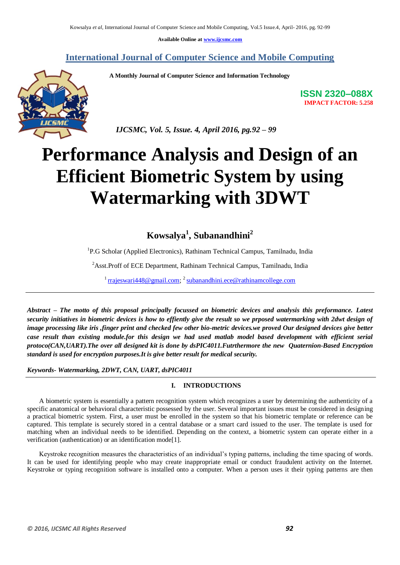**Available Online at [www.ijcsmc.com](http://www.ijcsmc.com/)**

### **International Journal of Computer Science and Mobile Computing**

 **A Monthly Journal of Computer Science and Information Technology**



 *IJCSMC, Vol. 5, Issue. 4, April 2016, pg.92 – 99*

# **Performance Analysis and Design of an Efficient Biometric System by using Watermarking with 3DWT**

## **Kowsalya<sup>1</sup> , Subanandhini<sup>2</sup>**

<sup>1</sup>P.G Scholar (Applied Electronics), Rathinam Technical Campus, Tamilnadu, India

<sup>2</sup>Asst.Proff of ECE Department, Rathinam Technical Campus, Tamilnadu, India

<sup>1</sup> [rrajeswari448@gmail.com;](mailto:rrajeswari448@gmail.com) <sup>2</sup> [subanandhini.ece@rathinamcollege.com](mailto:subanandhini.ece@rathinamcollege.com)

*Abstract – The motto of this proposal principally focussed on biometric devices and analysis this preformance. Latest security initiatives in biometric devices is how to effiently give the result so we prposed watermarking with 2dwt design of image processing like iris ,finger print and checked few other bio-metric devices.we proved Our designed devices give better case result than existing module.for this design we had used matlab model based development with efficient serial protoco(CAN,UART).The over all designed kit is done by dsPIC4011.Futrthermore the new Quaternion-Based Encryption standard is used for encryption purposes.It is give better result for medical security.*

*Keywords- Watermarking, 2DWT, CAN, UART, dsPIC4011*

#### **I. INTRODUCTIONS**

A biometric system is essentially a pattern recognition system which recognizes a user by determining the authenticity of a specific anatomical or behavioral characteristic possessed by the user. Several important issues must be considered in designing a practical biometric system. First, a user must be enrolled in the system so that his biometric template or reference can be captured. This template is securely stored in a central database or a smart card issued to the user. The template is used for matching when an individual needs to be identified. Depending on the context, a biometric system can operate either in a verification (authentication) or an identification mode[1].

Keystroke recognition measures the characteristics of an individual's typing patterns, including the time spacing of words. It can be used for identifying people who may create inappropriate email or conduct fraudulent activity on the Internet. Keystroke or typing recognition software is installed onto a computer. When a person uses it their typing patterns are then

**ISSN 2320–088X IMPACT FACTOR: 5.258**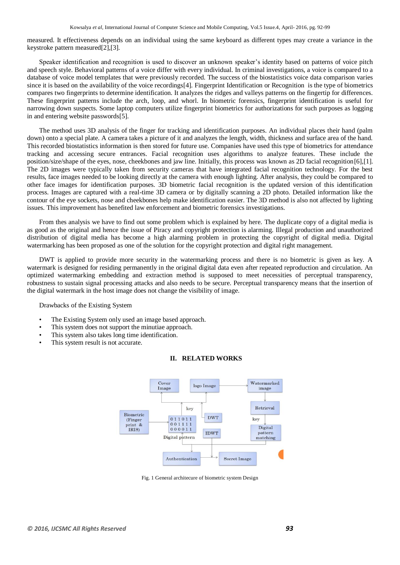measured. It effectiveness depends on an individual using the same keyboard as different types may create a variance in the keystroke pattern measured[2],[3].

Speaker identification and recognition is used to discover an unknown speaker's identity based on patterns of voice pitch and speech style. Behavioral patterns of a voice differ with every individual. In criminal investigations, a voice is compared to a database of voice model templates that were previously recorded. The success of the biostatistics voice data comparison varies since it is based on the availability of the voice recordings[4]. Fingerprint Identification or Recognition is the type of biometrics compares two fingerprints to determine identification. It analyzes the ridges and valleys patterns on the fingertip for differences. These fingerprint patterns include the arch, loop, and whorl. In biometric forensics, fingerprint identification is useful for narrowing down suspects. Some laptop computers utilize fingerprint biometrics for authorizations for such purposes as logging in and entering website passwords[5].

The method uses 3D analysis of the finger for tracking and identification purposes. An individual places their hand (palm down) onto a special plate. A camera takes a picture of it and analyzes the length, width, thickness and surface area of the hand. This recorded biostatistics information is then stored for future use. Companies have used this type of biometrics for attendance tracking and accessing secure entrances. Facial recognition uses algorithms to analyze features. These include the position/size/shape of the eyes, nose, cheekbones and jaw line. Initially, this process was known as 2D facial recognition[6],[1]. The 2D images were typically taken from security cameras that have integrated facial recognition technology. For the best results, face images needed to be looking directly at the camera with enough lighting. After analysis, they could be compared to other face images for identification purposes. 3D biometric facial recognition is the updated version of this identification process. Images are captured with a real-time 3D camera or by digitally scanning a 2D photo. Detailed information like the contour of the eye sockets, nose and cheekbones help make identification easier. The 3D method is also not affected by lighting issues. This improvement has benefited law enforcement and biometric forensics investigations.

From thes analysis we have to find out some problem which is explained by here. The duplicate copy of a digital media is as good as the original and hence the issue of Piracy and copyright protection is alarming. Illegal production and unauthorized distribution of digital media has become a high alarming problem in protecting the copyright of digital media. Digital watermarking has been proposed as one of the solution for the copyright protection and digital right management.

DWT is applied to provide more security in the watermarking process and there is no biometric is given as key. A watermark is designed for residing permanently in the original digital data even after repeated reproduction and circulation. An optimized watermarking embedding and extraction method is supposed to meet necessities of perceptual transparency, robustness to sustain signal processing attacks and also needs to be secure. Perceptual transparency means that the insertion of the digital watermark in the host image does not change the visibility of image.

Drawbacks of the Existing System

- The Existing System only used an image based approach.
- This system does not support the minutiae approach.
- This system also takes long time identification.
- This system result is not accurate.



#### **II. RELATED WORKS**

Fig. 1 General architecure of biometric system Design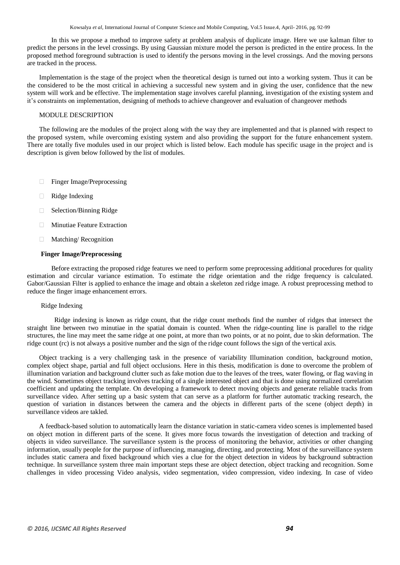In this we propose a method to improve safety at problem analysis of duplicate image. Here we use kalman filter to predict the persons in the level crossings. By using Gaussian mixture model the person is predicted in the entire process. In the proposed method foreground subtraction is used to identify the persons moving in the level crossings. And the moving persons are tracked in the process.

Implementation is the stage of the project when the theoretical design is turned out into a working system. Thus it can be the considered to be the most critical in achieving a successful new system and in giving the user, confidence that the new system will work and be effective. The implementation stage involves careful planning, investigation of the existing system and it's constraints on implementation, designing of methods to achieve changeover and evaluation of changeover methods

#### MODULE DESCRIPTION

The following are the modules of the project along with the way they are implemented and that is planned with respect to the proposed system, while overcoming existing system and also providing the support for the future enhancement system. There are totally five modules used in our project which is listed below. Each module has specific usage in the project and is description is given below followed by the list of modules.

- □ Finger Image/Preprocessing
- Ridge Indexing
- □ Selection/Binning Ridge
- **Minutiae Feature Extraction**
- $\Box$ Matching/ Recognition

#### **Finger Image/Preprocessing**

Before extracting the proposed ridge features we need to perform some preprocessing additional procedures for quality estimation and circular variance estimation. To estimate the ridge orientation and the ridge frequency is calculated. Gabor/Gaussian Filter is applied to enhance the image and obtain a skeleton zed ridge image. A robust preprocessing method to reduce the finger image enhancement errors.

#### Ridge Indexing

 Ridge indexing is known as ridge count, that the ridge count methods find the number of ridges that intersect the straight line between two minutiae in the spatial domain is counted. When the ridge-counting line is parallel to the ridge structures, the line may meet the same ridge at one point, at more than two points, or at no point, due to skin deformation. The ridge count (rc) is not always a positive number and the sign of the ridge count follows the sign of the vertical axis.

Object tracking is a very challenging task in the presence of variability Illumination condition, background motion, complex object shape, partial and full object occlusions. Here in this thesis, modification is done to overcome the problem of illumination variation and background clutter such as fake motion due to the leaves of the trees, water flowing, or flag waving in the wind. Sometimes object tracking involves tracking of a single interested object and that is done using normalized correlation coefficient and updating the template. On developing a framework to detect moving objects and generate reliable tracks from surveillance video. After setting up a basic system that can serve as a platform for further automatic tracking research, the question of variation in distances between the camera and the objects in different parts of the scene (object depth) in surveillance videos are takled.

A feedback-based solution to automatically learn the distance variation in static-camera video scenes is implemented based on object motion in different parts of the scene. It gives more focus towards the investigation of detection and tracking of objects in video surveillance. The surveillance system is the process of monitoring the behavior, activities or other changing information, usually people for the purpose of influencing, managing, directing, and protecting. Most of the surveillance system includes static camera and fixed background which vies a clue for the object detection in videos by background subtraction technique. In surveillance system three main important steps these are object detection, object tracking and recognition. Some challenges in video processing Video analysis, video segmentation, video compression, video indexing. In case of video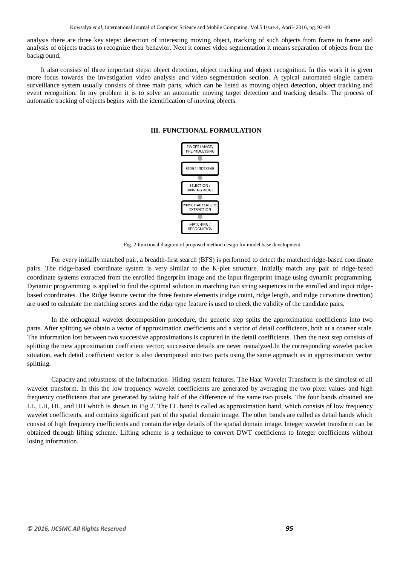analysis there are three key steps: detection of interesting moving object, tracking of such objects from frame to frame and analysis of objects tracks to recognize their behavior. Next it comes video segmentation it means separation of objects from the background.

It also consists of three important steps: object detection, object tracking and object recognition. In this work it is given more focus towards the investigation video analysis and video segmentation section. A typical automated single camera surveillance system usually consists of three main parts, which can be listed as moving object detection, object tracking and event recognition. In my problem it is to solve an automatic moving target detection and tracking details. The process of automatic tracking of objects begins with the identification of moving objects.



#### **III. FUNCTIONAL FORMULATION**

Fig. 2 functional diagram of proposed method design for model base development

For every initially matched pair, a breadth-first search (BFS) is performed to detect the matched ridge-based coordinate pairs. The ridge-based coordinate system is very similar to the K-plet structure. Initially match any pair of ridge-based coordinate systems extracted from the enrolled fingerprint image and the input fingerprint image using dynamic programming. Dynamic programming is applied to find the optimal solution in matching two string sequences in the enrolled and input ridgebased coordinates. The Ridge feature vector the three feature elements (ridge count, ridge length, and ridge curvature direction) are used to calculate the matching scores and the ridge type feature is used to check the validity of the candidate pairs.

In the orthogonal wavelet decomposition procedure, the generic step splits the approximation coefficients into two parts. After splitting we obtain a vector of approximation coefficients and a vector of detail coefficients, both at a coarser scale. The information lost between two successive approximations is captured in the detail coefficients. Then the next step consists of splitting the new approximation coefficient vector; successive details are never reanalyzed.In the corresponding wavelet packet situation, each detail coefficient vector is also decomposed into two parts using the same approach as in approximation vector splitting.

Capacity and robustness of the Information- Hiding system features. The Haar Wavelet Transform is the simplest of all wavelet transform. In this the low frequency wavelet coefficients are generated by averaging the two pixel values and high frequency coefficients that are generated by taking half of the difference of the same two pixels. The four bands obtained are LL, LH, HL, and HH which is shown in Fig 2. The LL band is called as approximation band, which consists of low frequency wavelet coefficients, and contains significant part of the spatial domain image. The other bands are called as detail bands which consist of high frequency coefficients and contain the edge details of the spatial domain image. Integer wavelet transform can be obtained through lifting scheme. Lifting scheme is a technique to convert DWT coefficients to Integer coefficients without losing information.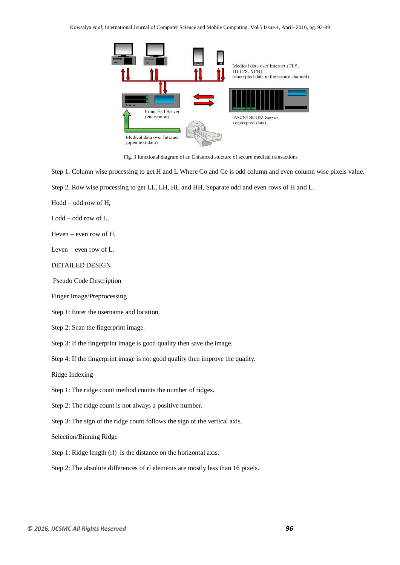Kowsalya *et al*, International Journal of Computer Science and Mobile Computing, Vol.5 Issue.4, April- 2016, pg. 92-99



Fig. 3 functional diagram of an Enhanced stucture of secure medical transactions

Step 1. Column wise processing to get H and L Where Co and Ce is odd column and even column wise pixels value.

Step 2. Row wise processing to get LL, LH, HL and HH, Separate odd and even rows of H and L.

Hodd – odd row of H,

Lodd – odd row of L,

Heven – even row of H,

Leven – even row of L.

#### DETAILED DESIGN

Pseudo Code Description

Finger Image/Preprocessing

Step 1: Enter the username and location.

Step 2: Scan the fingerprint image.

Step 3: If the fingerprint image is good quality then save the image.

Step 4: If the fingerprint image is not good quality then improve the quality.

Ridge Indexing

Step 1: The ridge count method counts the number of ridges.

Step 2: The ridge count is not always a positive number.

Step 3: The sign of the ridge count follows the sign of the vertical axis.

Selection/Binning Ridge

Step 1: Ridge length (rl) is the distance on the horizontal axis.

Step 2: The absolute differences of rl elements are mostly less than 16 pixels.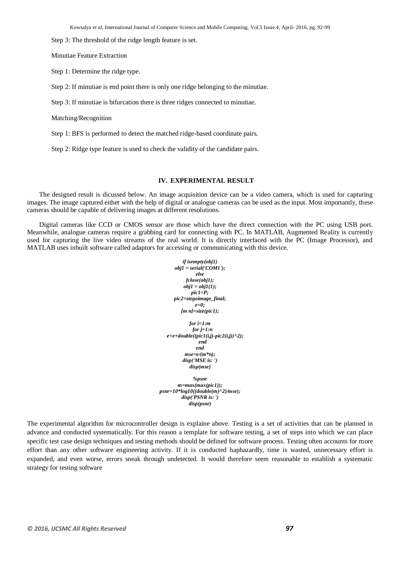Step 3: The threshold of the ridge length feature is set.

Minutiae Feature Extraction

Step 1: Determine the ridge type.

Step 2: If minutiae is end point there is only one ridge belonging to the minutiae.

Step 3: If minutiae is bifurcation there is three ridges connected to minutiae.

Matching/Recognition

Step 1: BFS is performed to detect the matched ridge-based coordinate pairs.

Step 2: Ridge type feature is used to check the validity of the candidate pairs.

#### **IV. EXPERIMENTAL RESULT**

The designed result is dicussed below. An image acquisition device can be a video camera, which is used for capturing images. The image captured either with the help of digital or analogue cameras can be used as the input. Most importantly, these cameras should be capable of delivering images at different resolutions.

Digital cameras like CCD or CMOS sensor are those which have the direct connection with the PC using USB port. Meanwhile, analogue cameras require a grabbing card for connecting with PC. In MATLAB, Augmented Reality is currently used for capturing the live video streams of the real world. It is directly interfaced with the PC (Image Processor), and MATLAB uses inbuilt software called adaptors for accessing or communicating with this device.

> *if isempty(obj1)*  $obj1 = serial('COM1');$ *else fclose(obj1);*  $obj1 = obj1(1);$ *pic1=P; pic2=stegoimage\_final; e=0; [m n]=size(pic1); for i=1:m for j=1:n e=e+double((pic1(i,j)-pic2(i,j))^2); end end mse=e/(m\*n); disp('MSE is: ') disp(mse) %psnr m=max(max(pic1)); psnr=10\*log10((double(m)^2)/mse);*

*disp('PSNR is: ') disp(psnr)* 

The experimental algorithm for microcontroller design is explaine above. Testing is a set of activities that can be planned in advance and conducted systematically. For this reason a template for software testing, a set of steps into which we can place specific test case design techniques and testing methods should be defined for software process. Testing often accounts for more effort than any other software engineering activity. If it is conducted haphazardly, time is wasted, unnecessary effort is expanded, and even worse, errors sneak through undetected. It would therefore seem reasonable to establish a systematic strategy for testing software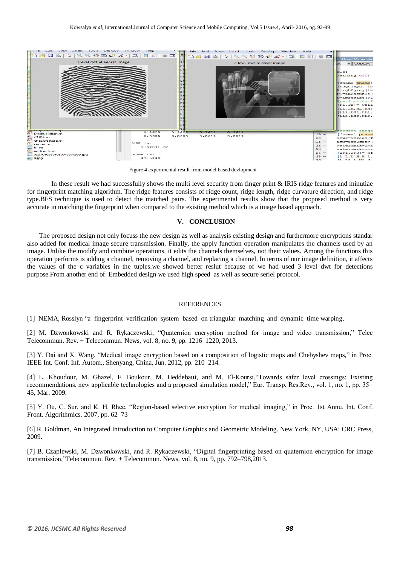

Figure 4 experimental result from model based devlopment

In these result we had successfully shows the multi level security from finger print  $\&$  IRIS ridge features and minutiae for fingerprint matching algorithm. The ridge features consists of ridge count, ridge length, ridge curvature direction, and ridge type.BFS technique is used to detect the matched pairs. The experimental results show that the proposed method is very accurate in matching the fingerprint when compared to the existing method which is a image based approach.

#### **V. CONCLUSION**

The proposed design not only focuss the new design as well as analysis existing design and furthermore encryptions standar also added for medical image secure transmission. Finally, the apply function operation manipulates the channels used by an image. Unlike the modify and combine operations, it edits the channels themselves, not their values. Among the functions this operation performs is adding a channel, removing a channel, and replacing a channel. In terms of our image definition, it affects the values of the c variables in the tuples.we showed better reslut because of we had used 3 level dwt for detections purpose.From another end of Embedded design we used high speed as well as secure seriel protocol.

#### **REFERENCES**

[1] NEMA, Rosslyn "a fingerprint verification system based on triangular matching and dynamic time warping.

[2] M. Dzwonkowski and R. Rykaczewski, "Quaternion encryption method for image and video transmission," Telec Telecommun. Rev. + Telecommun. News, vol. 8, no. 9, pp. 1216–1220, 2013.

[3] Y. Dai and X. Wang, "Medical image encryption based on a composition of logistic maps and Chebyshev maps," in Proc. IEEE Int. Conf. Inf. Autom., Shenyang, China, Jun. 2012, pp. 210–214.

[4] L. Khoudour, M. Ghazel, F. Boukour, M. Heddebaut, and M. El-Koursi,"Towards safer level crossings: Existing recommendations, new applicable technologies and a proposed simulation model," Eur. Transp. Res.Rev., vol. 1, no. 1, pp. 35– 45, Mar. 2009.

[5] Y. Ou, C. Sur, and K. H. Rhee, "Region-based selective encryption for medical imaging," in Proc. 1st Annu. Int. Conf. Front. Algorithmics, 2007, pp. 62–73

[6] R. Goldman, An Integrated Introduction to Computer Graphics and Geometric Modeling. New York, NY, USA: CRC Press, 2009.

[7] B. Czaplewski, M. Dzwonkowski, and R. Rykaczewski, "Digital fingerprinting based on quaternion encryption for image transmission,"Telecommun. Rev. + Telecommun. News, vol. 8, no. 9, pp. 792–798,2013.